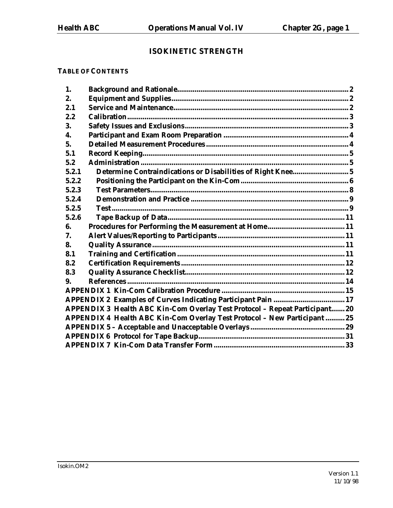# **ISOKINETIC STRENGTH**

## **TABLE OF CONTENTS**

| 1.    |                                                                             |  |
|-------|-----------------------------------------------------------------------------|--|
| 2.    |                                                                             |  |
| 2.1   |                                                                             |  |
| 2.2   |                                                                             |  |
| 3.    |                                                                             |  |
| 4.    |                                                                             |  |
| 5.    |                                                                             |  |
| 5.1   |                                                                             |  |
| 5.2   |                                                                             |  |
| 5.2.1 | Determine Contraindications or Disabilities of Right Knee 5                 |  |
| 5.2.2 |                                                                             |  |
| 5.2.3 |                                                                             |  |
| 5.2.4 |                                                                             |  |
| 5.2.5 |                                                                             |  |
| 5.2.6 |                                                                             |  |
| 6.    |                                                                             |  |
| 7.    |                                                                             |  |
| 8.    |                                                                             |  |
| 8.1   |                                                                             |  |
| 8.2   |                                                                             |  |
| 8.3   |                                                                             |  |
| 9.    |                                                                             |  |
|       |                                                                             |  |
|       |                                                                             |  |
|       | APPENDIX 3 Health ABC Kin-Com Overlay Test Protocol - Repeat Participant 20 |  |
|       | APPENDIX 4 Health ABC Kin-Com Overlay Test Protocol - New Participant  25   |  |
|       |                                                                             |  |
|       |                                                                             |  |
|       |                                                                             |  |
|       |                                                                             |  |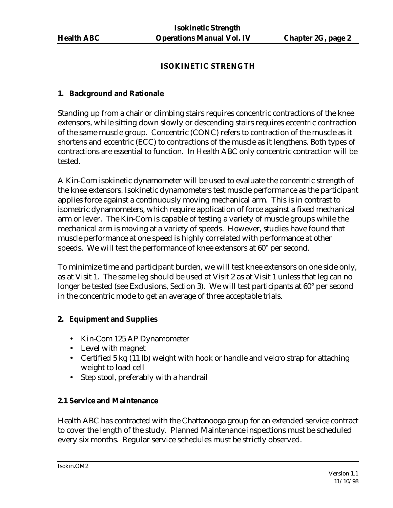# **ISOKINETIC STRENGTH**

## **1. Background and Rationale**

Standing up from a chair or climbing stairs requires concentric contractions of the knee extensors, while sitting down slowly or descending stairs requires eccentric contraction of the same muscle group. Concentric (CONC) refers to contraction of the muscle as it shortens and eccentric (ECC) to contractions of the muscle as it lengthens. Both types of contractions are essential to function. In Health ABC only concentric contraction will be tested.

A Kin-Com isokinetic dynamometer will be used to evaluate the concentric strength of the knee extensors. Isokinetic dynamometers test muscle performance as the participant applies force against a continuously moving mechanical arm. This is in contrast to isometric dynamometers, which require application of force against a fixed mechanical arm or lever. The Kin-Com is capable of testing a variety of muscle groups while the mechanical arm is moving at a variety of speeds. However, studies have found that muscle performance at one speed is highly correlated with performance at other speeds. We will test the performance of knee extensors at 60° per second.

To minimize time and participant burden, we will test knee extensors on one side only, as at Visit 1. The same leg should be used at Visit 2 as at Visit 1 unless that leg can no longer be tested (see Exclusions, Section 3). We will test participants at 60° per second in the concentric mode to get an average of three acceptable trials.

# **2. Equipment and Supplies**

- Kin-Com 125 AP Dynamometer
- Level with magnet
- Certified 5 kg (11 lb) weight with hook or handle and velcro strap for attaching weight to load cell
- Step stool, preferably with a handrail

# **2.1 Service and Maintenance**

Health ABC has contracted with the Chattanooga group for an extended service contract to cover the length of the study. Planned Maintenance inspections must be scheduled every six months. Regular service schedules must be strictly observed.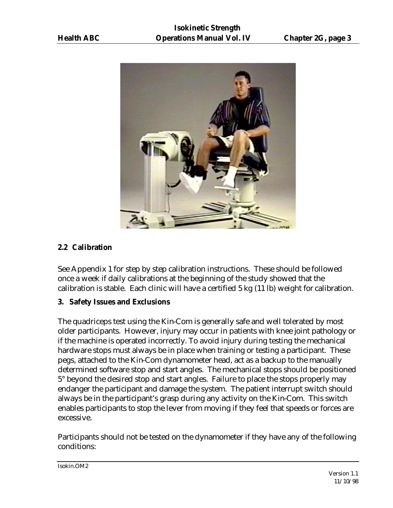

# **2.2 Calibration**

See Appendix 1 for step by step calibration instructions. These should be followed once a week if daily calibrations at the beginning of the study showed that the calibration is stable. Each clinic will have a certified 5 kg (11 lb) weight for calibration.

# **3. Safety Issues and Exclusions**

The quadriceps test using the Kin-Com is generally safe and well tolerated by most older participants. However, injury may occur in patients with knee joint pathology or if the machine is operated incorrectly. To avoid injury during testing the mechanical hardware stops must always be in place when training or testing a participant. These pegs, attached to the Kin-Com dynamometer head, act as a backup to the manually determined software stop and start angles. The mechanical stops should be positioned 5° beyond the desired stop and start angles. Failure to place the stops properly may endanger the participant and damage the system. The patient interrupt switch should always be in the participant's grasp during any activity on the Kin-Com. This switch enables participants to stop the lever from moving if they feel that speeds or forces are excessive.

Participants should not be tested on the dynamometer if they have any of the following conditions: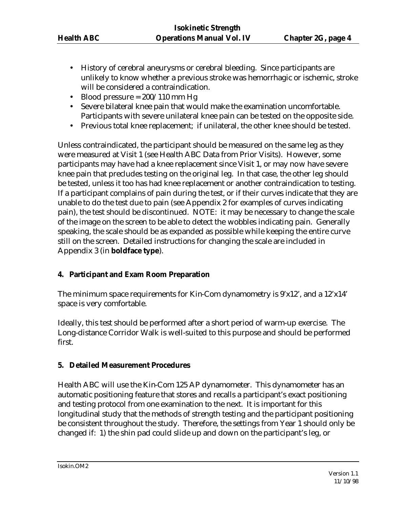- History of cerebral aneurysms or cerebral bleeding. Since participants are unlikely to know whether a previous stroke was hemorrhagic or ischemic, stroke will be considered a contraindication.
- Blood pressure  $= 200/110$  mm Hg
- Severe bilateral knee pain that would make the examination uncomfortable. Participants with severe unilateral knee pain can be tested on the opposite side.
- Previous total knee replacement; if unilateral, the other knee should be tested.

Unless contraindicated, the participant should be measured on the same leg as they were measured at Visit 1 (see Health ABC Data from Prior Visits). However, some participants may have had a knee replacement since Visit 1, or may now have severe knee pain that precludes testing on the original leg. In that case, the other leg should be tested, unless it too has had knee replacement or another contraindication to testing. If a participant complains of pain during the test, or if their curves indicate that they are unable to do the test due to pain (see Appendix 2 for examples of curves indicating pain), the test should be discontinued. NOTE: it may be necessary to change the scale of the image on the screen to be able to detect the wobbles indicating pain. Generally speaking, the scale should be as expanded as possible while keeping the entire curve still on the screen. Detailed instructions for changing the scale are included in Appendix 3 (in **boldface type**).

# **4. Participant and Exam Room Preparation**

The minimum space requirements for Kin-Com dynamometry is 9'x12', and a 12'x14' space is very comfortable.

Ideally, this test should be performed after a short period of warm-up exercise. The Long-distance Corridor Walk is well-suited to this purpose and should be performed first.

# **5. Detailed Measurement Procedures**

Health ABC will use the Kin-Com 125 AP dynamometer. This dynamometer has an automatic positioning feature that stores and recalls a participant's exact positioning and testing protocol from one examination to the next. It is important for this longitudinal study that the methods of strength testing and the participant positioning be consistent throughout the study. Therefore, the settings from Year 1 should only be changed if: 1) the shin pad could slide up and down on the participant's leg, or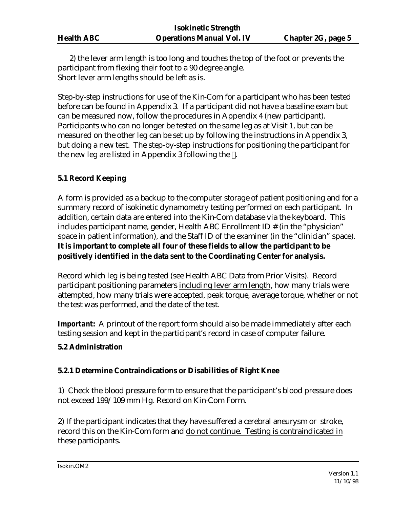2) the lever arm length is too long and touches the top of the foot or prevents the participant from flexing their foot to a 90 degree angle. Short lever arm lengths should be left as is.

Step-by-step instructions for use of the Kin-Com for a participant who has been tested before can be found in Appendix 3. If a participant did not have a baseline exam but can be measured now, follow the procedures in Appendix 4 (new participant). Participants who can no longer be tested on the same leg as at Visit 1, but can be measured on the other leg can be set up by following the instructions in Appendix 3, but doing a new test. The step-by-step instructions for positioning the participant for the new leg are listed in Appendix 3 following the .

# **5.1 Record Keeping**

A form is provided as a backup to the computer storage of patient positioning and for a summary record of isokinetic dynamometry testing performed on each participant. In addition, certain data are entered into the Kin-Com database via the keyboard. This includes participant name, gender, Health ABC Enrollment ID # (in the "physician" space in patient information), and the Staff ID of the examiner (in the "clinician" space). **It is important to complete all four of these fields to allow the participant to be positively identified in the data sent to the Coordinating Center for analysis.**

Record which leg is being tested (see Health ABC Data from Prior Visits). Record participant positioning parameters including lever arm length, how many trials were attempted, how many trials were accepted, peak torque, average torque, whether or not the test was performed, and the date of the test.

**Important:** A printout of the report form should also be made immediately after each testing session and kept in the participant's record in case of computer failure.

# **5.2 Administration**

# **5.2.1 Determine Contraindications or Disabilities of Right Knee**

1) Check the blood pressure form to ensure that the participant's blood pressure does not exceed 199/109 mm Hg. Record on Kin-Com Form.

2) If the participant indicates that they have suffered a cerebral aneurysm or stroke, record this on the Kin-Com form and do not continue. Testing is contraindicated in these participants.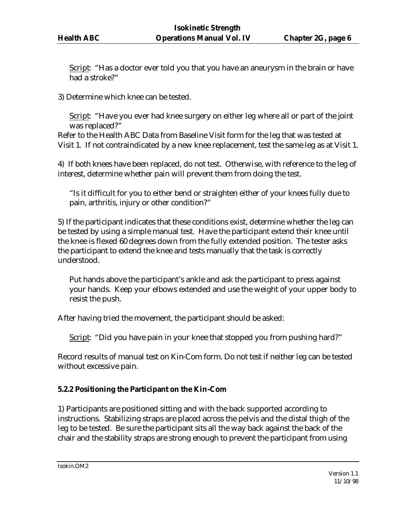Script: "Has a doctor ever told you that you have an aneurysm in the brain or have had a stroke?"

3) Determine which knee can be tested.

Script: "Have you ever had knee surgery on either leg where all or part of the joint was replaced?"

Refer to the Health ABC Data from Baseline Visit form for the leg that was tested at Visit 1. If not contraindicated by a new knee replacement, test the same leg as at Visit 1.

4) If both knees have been replaced, do not test. Otherwise, with reference to the leg of interest, determine whether pain will prevent them from doing the test.

"Is it difficult for you to either bend or straighten either of your knees fully due to pain, arthritis, injury or other condition?"

5) If the participant indicates that these conditions exist, determine whether the leg can be tested by using a simple manual test. Have the participant extend their knee until the knee is flexed 60 degrees down from the fully extended position. The tester asks the participant to extend the knee and tests manually that the task is correctly understood.

Put hands above the participant's ankle and ask the participant to press against your hands. Keep your elbows extended and use the weight of your upper body to resist the push.

After having tried the movement, the participant should be asked:

Script: "Did you have pain in your knee that stopped you from pushing hard?"

Record results of manual test on Kin-Com form. Do not test if neither leg can be tested without excessive pain.

# **5.2.2 Positioning the Participant on the Kin-Com**

1) Participants are positioned sitting and with the back supported according to instructions. Stabilizing straps are placed across the pelvis and the distal thigh of the leg to be tested. Be sure the participant sits all the way back against the back of the chair and the stability straps are strong enough to prevent the participant from using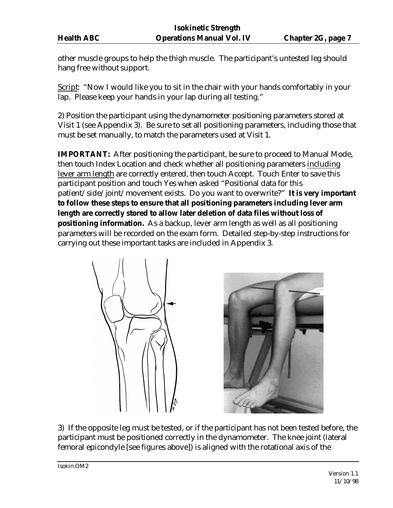other muscle groups to help the thigh muscle. The participant's untested leg should hang free without support.

Script: "Now I would like you to sit in the chair with your hands comfortably in your lap. Please keep your hands in your lap during all testing."

2) Position the participant using the dynamometer positioning parameters stored at Visit 1 (see Appendix 3). Be sure to set all positioning parameters, including those that must be set manually, to match the parameters used at Visit 1.

**IMPORTANT:** After positioning the participant, be sure to proceed to Manual Mode, then touch Index Location and check whether all positioning parameters including lever arm length are correctly entered, then touch Accept. Touch Enter to save this participant position and touch Yes when asked "Positional data for this patient/side/joint/movement exists. Do you want to overwrite?" **It is very important to follow these steps to ensure that all positioning parameters including lever arm length are correctly stored to allow later deletion of data files without loss of positioning information.** As a backup, lever arm length as well as all positioning parameters will be recorded on the exam form. Detailed step-by-step instructions for carrying out these important tasks are included in Appendix 3.



3) If the opposite leg must be tested, or if the participant has not been tested before, the participant must be positioned correctly in the dynamometer. The knee joint (lateral femoral epicondyle [see figures above]) is aligned with the rotational axis of the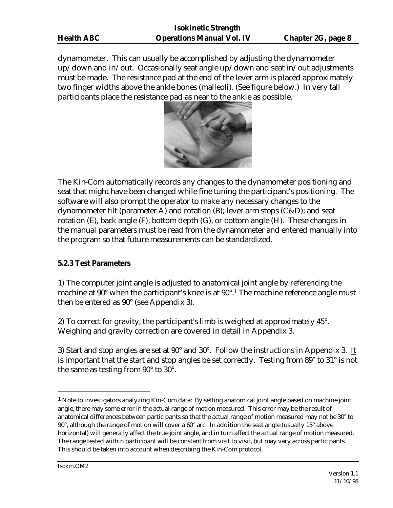dynamometer. This can usually be accomplished by adjusting the dynamometer up/down and in/out. Occasionally seat angle up/down and seat in/out adjustments must be made. The resistance pad at the end of the lever arm is placed approximately two finger widths above the ankle bones (malleoli). (See figure below.) In very tall participants place the resistance pad as near to the ankle as possible.



The Kin-Com automatically records any changes to the dynamometer positioning and seat that might have been changed while fine tuning the participant's positioning. The software will also prompt the operator to make any necessary changes to the dynamometer tilt (parameter A) and rotation (B); lever arm stops (C&D); and seat rotation (E), back angle (F), bottom depth (G), or bottom angle (H). These changes in the manual parameters must be read from the dynamometer and entered manually into the program so that future measurements can be standardized.

### **5.2.3 Test Parameters**

1) The computer joint angle is adjusted to anatomical joint angle by referencing the machine at 90° when the participant's knee is at 90°.<sup>1</sup> The machine reference angle must then be entered as 90° (see Appendix 3).

2) To correct for gravity, the participant's limb is weighed at approximately 45°. Weighing and gravity correction are covered in detail in Appendix 3.

3) Start and stop angles are set at 90° and 30°.Follow the instructions in Appendix 3. It is important that the start and stop angles be set correctly. Testing from 89° to 31° is not the same as testing from 90° to 30°.

 $\overline{a}$ 

 $<sup>1</sup>$  Note to investigators analyzing Kin-Com data: By setting anatomical joint angle based on machine joint</sup> angle, there may some error in the actual range of motion measured. This error may be the result of anatomical differences between participants so that the actual range of motion measured may not be 30° to 90°, although the range of motion will cover a 60° arc. In addition the seat angle (usually 15° above horizontal) will generally affect the true joint angle, and in turn affect the actual range of motion measured. The range tested within participant will be constant from visit to visit, but may vary across participants. This should be taken into account when describing the Kin-Com protocol.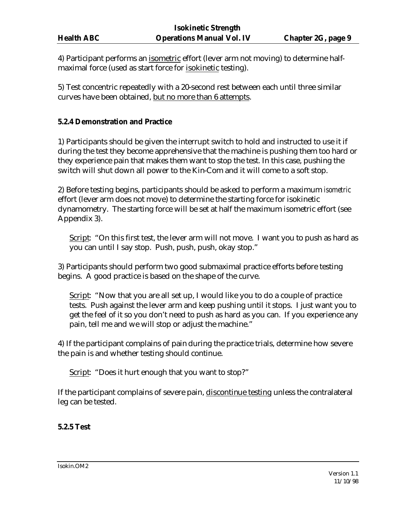4) Participant performs an isometric effort (lever arm not moving) to determine halfmaximal force (used as start force for isokinetic testing).

5) Test concentric repeatedly with a 20-second rest between each until three similar curves have been obtained, but no more than 6 attempts.

### **5.2.4 Demonstration and Practice**

1) Participants should be given the interrupt switch to hold and instructed to use it if during the test they become apprehensive that the machine is pushing them too hard or they experience pain that makes them want to stop the test. In this case, pushing the switch will shut down all power to the Kin-Com and it will come to a soft stop.

2) Before testing begins, participants should be asked to perform a maximum *isometric* effort (lever arm does not move) to determine the starting force for isokinetic dynamometry. The starting force will be set at half the maximum isometric effort (see Appendix 3).

Script: "On this first test, the lever arm will not move. I want you to push as hard as you can until I say stop. Push, push, push, okay stop."

3) Participants should perform two good submaximal practice efforts before testing begins. A good practice is based on the shape of the curve.

Script: "Now that you are all set up, I would like you to do a couple of practice tests. Push against the lever arm and keep pushing until it stops. I just want you to get the feel of it so you don't need to push as hard as you can. If you experience any pain, tell me and we will stop or adjust the machine."

4) If the participant complains of pain during the practice trials, determine how severe the pain is and whether testing should continue.

Script: "Does it hurt enough that you want to stop?"

If the participant complains of severe pain, discontinue testing unless the contralateral leg can be tested.

### **5.2.5 Test**

Isokin.OM2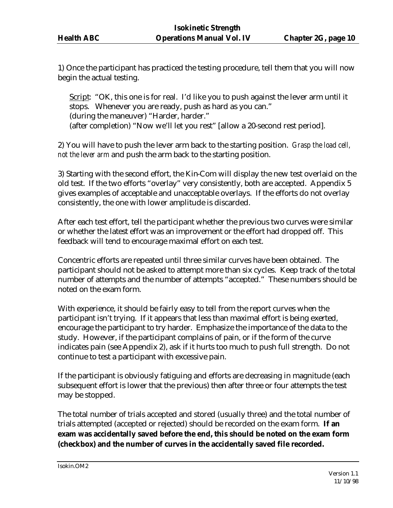1) Once the participant has practiced the testing procedure, tell them that you will now begin the actual testing.

Script: "OK, this one is for real. I'd like you to push against the lever arm until it stops. Whenever you are ready, push as hard as you can." (during the maneuver) "Harder, harder." (after completion) "Now we'll let you rest" [allow a 20-second rest period].

2) You will have to push the lever arm back to the starting position. *Grasp the load cell, not the lever arm* and push the arm back to the starting position.

3) Starting with the second effort, the Kin-Com will display the new test overlaid on the old test. If the two efforts "overlay" very consistently, both are accepted. Appendix 5 gives examples of acceptable and unacceptable overlays. If the efforts do not overlay consistently, the one with lower amplitude is discarded.

After each test effort, tell the participant whether the previous two curves were similar or whether the latest effort was an improvement or the effort had dropped off. This feedback will tend to encourage maximal effort on each test.

Concentric efforts are repeated until three similar curves have been obtained. The participant should not be asked to attempt more than six cycles. Keep track of the total number of attempts and the number of attempts "accepted." These numbers should be noted on the exam form.

With experience, it should be fairly easy to tell from the report curves when the participant isn't trying. If it appears that less than maximal effort is being exerted, encourage the participant to try harder. Emphasize the importance of the data to the study. However, if the participant complains of pain, or if the form of the curve indicates pain (see Appendix 2), ask if it hurts too much to push full strength. Do not continue to test a participant with excessive pain.

If the participant is obviously fatiguing and efforts are decreasing in magnitude (each subsequent effort is lower that the previous) then after three or four attempts the test may be stopped.

The total number of trials accepted and stored (usually three) and the total number of trials attempted (accepted or rejected) should be recorded on the exam form. **If an exam was accidentally saved before the end, this should be noted on the exam form (checkbox) and the number of curves in the accidentally saved file recorded.**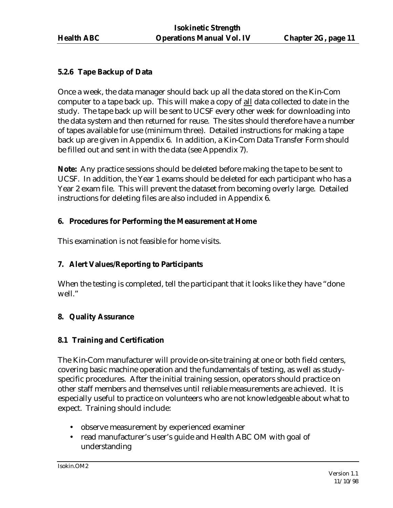# **5.2.6 Tape Backup of Data**

Once a week, the data manager should back up all the data stored on the Kin-Com computer to a tape back up. This will make a copy of all data collected to date in the study. The tape back up will be sent to UCSF every other week for downloading into the data system and then returned for reuse. The sites should therefore have a number of tapes available for use (minimum three). Detailed instructions for making a tape back up are given in Appendix 6. In addition, a Kin-Com Data Transfer Form should be filled out and sent in with the data (see Appendix 7).

**Note:** Any practice sessions should be deleted before making the tape to be sent to UCSF. In addition, the Year 1 exams should be deleted for each participant who has a Year 2 exam file. This will prevent the dataset from becoming overly large. Detailed instructions for deleting files are also included in Appendix 6.

# **6. Procedures for Performing the Measurement at Home**

This examination is not feasible for home visits.

# **7. Alert Values/Reporting to Participants**

When the testing is completed, tell the participant that it looks like they have "done well."

# **8. Quality Assurance**

# **8.1 Training and Certification**

The Kin-Com manufacturer will provide on-site training at one or both field centers, covering basic machine operation and the fundamentals of testing, as well as studyspecific procedures. After the initial training session, operators should practice on other staff members and themselves until reliable measurements are achieved. It is especially useful to practice on volunteers who are not knowledgeable about what to expect. Training should include:

- observe measurement by experienced examiner
- read manufacturer's user's guide and Health ABC OM with goal of understanding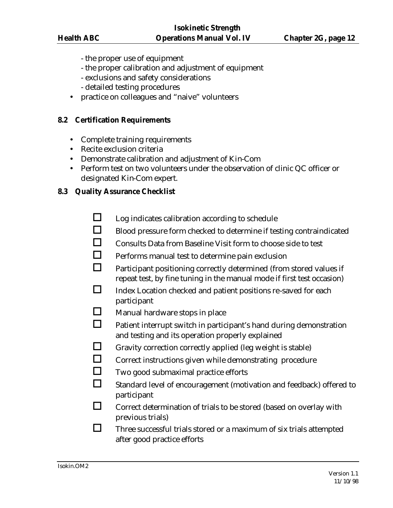- the proper use of equipment
- the proper calibration and adjustment of equipment
- exclusions and safety considerations
- detailed testing procedures
- practice on colleagues and "naive" volunteers

#### **8.2 Certification Requirements**

- Complete training requirements
- Recite exclusion criteria
- Demonstrate calibration and adjustment of Kin-Com
- Perform test on two volunteers under the observation of clinic QC officer or designated Kin-Com expert.

#### **8.3 Quality Assurance Checklist**

- $\Box$  Log indicates calibration according to schedule
- $\Box$  Blood pressure form checked to determine if testing contraindicated
- $\Box$  Consults Data from Baseline Visit form to choose side to test
- $\Box$  Performs manual test to determine pain exclusion
- $\Box$  Participant positioning correctly determined (from stored values if repeat test, by fine tuning in the manual mode if first test occasion)
- $\Box$  Index Location checked and patient positions re-saved for each participant
- $\Box$  Manual hardware stops in place
- $\Box$  Patient interrupt switch in participant's hand during demonstration and testing and its operation properly explained
- $\Box$  Gravity correction correctly applied (leg weight is stable)
- $\Box$  Correct instructions given while demonstrating procedure
- $\Box$  Two good submaximal practice efforts
- $\Box$  Standard level of encouragement (motivation and feedback) offered to participant
- $\Box$  Correct determination of trials to be stored (based on overlay with previous trials)
- $\Box$  Three successful trials stored or a maximum of six trials attempted after good practice efforts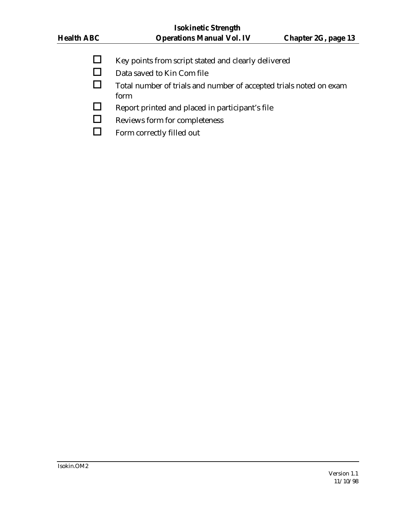- $\Box$  Key points from script stated and clearly delivered
- $\Box$  Data saved to Kin Com file
- $\Box$  Total number of trials and number of accepted trials noted on exam form
- $\Box$  Report printed and placed in participant's file
- $\Box$  Reviews form for completeness
- $\Box$  Form correctly filled out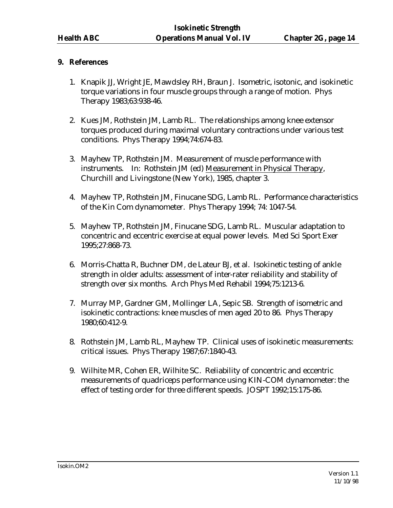## **9. References**

- 1. Knapik JJ, Wright JE, Mawdsley RH, Braun J. Isometric, isotonic, and isokinetic torque variations in four muscle groups through a range of motion. Phys Therapy 1983;63:938-46.
- 2. Kues JM, Rothstein JM, Lamb RL. The relationships among knee extensor torques produced during maximal voluntary contractions under various test conditions. Phys Therapy 1994;74:674-83.
- 3. Mayhew TP, Rothstein JM. Measurement of muscle performance with instruments. In: Rothstein JM (ed) Measurement in Physical Therapy, Churchill and Livingstone (New York), 1985, chapter 3.
- 4. Mayhew TP, Rothstein JM, Finucane SDG, Lamb RL. Performance characteristics of the Kin Com dynamometer. Phys Therapy 1994; 74: 1047-54.
- 5. Mayhew TP, Rothstein JM, Finucane SDG, Lamb RL. Muscular adaptation to concentric and eccentric exercise at equal power levels. Med Sci Sport Exer 1995;27:868-73.
- 6. Morris-Chatta R, Buchner DM, de Lateur BJ, et al. Isokinetic testing of ankle strength in older adults: assessment of inter-rater reliability and stability of strength over six months. Arch Phys Med Rehabil 1994;75:1213-6.
- 7. Murray MP, Gardner GM, Mollinger LA, Sepic SB. Strength of isometric and isokinetic contractions: knee muscles of men aged 20 to 86. Phys Therapy 1980;60:412-9.
- 8. Rothstein JM, Lamb RL, Mayhew TP. Clinical uses of isokinetic measurements: critical issues. Phys Therapy 1987;67:1840-43.
- 9. Wilhite MR, Cohen ER, Wilhite SC. Reliability of concentric and eccentric measurements of quadriceps performance using KIN-COM dynamometer: the effect of testing order for three different speeds. JOSPT 1992;15:175-86.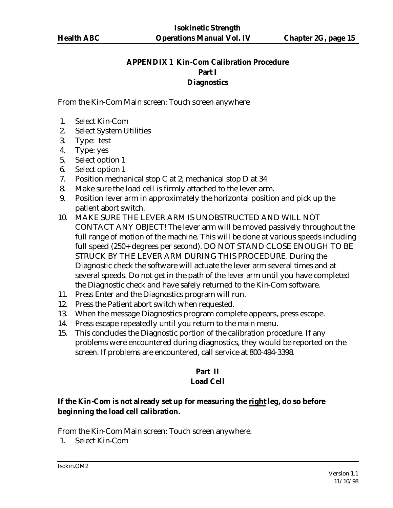# **APPENDIX 1 Kin-Com Calibration Procedure Part I Diagnostics**

From the Kin-Com Main screen: Touch screen anywhere

- 1. Select Kin-Com
- 2. Select System Utilities
- 3. Type: test
- 4. Type: yes
- 5. Select option 1
- 6. Select option 1
- 7. Position mechanical stop C at 2; mechanical stop D at 34
- 8. Make sure the load cell is firmly attached to the lever arm.
- 9. Position lever arm in approximately the horizontal position and pick up the patient abort switch.
- 10. MAKE SURE THE LEVER ARM IS UNOBSTRUCTED AND WILL NOT CONTACT ANY OBJECT! The lever arm will be moved passively throughout the full range of motion of the machine. This will be done at various speeds including full speed (250+ degrees per second). DO NOT STAND CLOSE ENOUGH TO BE STRUCK BY THE LEVER ARM DURING THIS PROCEDURE. During the Diagnostic check the software will actuate the lever arm several times and at several speeds. Do not get in the path of the lever arm until you have completed the Diagnostic check and have safely returned to the Kin-Com software.
- 11. Press Enter and the Diagnostics program will run.
- 12. Press the Patient abort switch when requested.
- 13. When the message Diagnostics program complete appears, press escape.
- 14. Press escape repeatedly until you return to the main menu.
- 15. This concludes the Diagnostic portion of the calibration procedure. If any problems were encountered during diagnostics, they would be reported on the screen. If problems are encountered, call service at 800-494-3398.

## **Part II Load Cell**

# **If the Kin-Com is not already set up for measuring the right leg, do so before beginning the load cell calibration.**

From the Kin-Com Main screen: Touch screen anywhere.

1. Select Kin-Com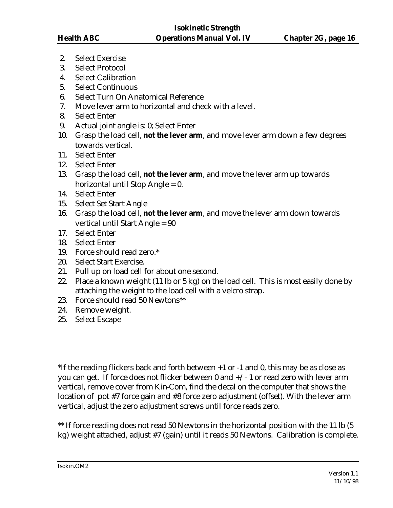- 2. Select Exercise
- 3. Select Protocol
- 4. Select Calibration
- 5. Select Continuous
- 6. Select Turn On Anatomical Reference
- 7. Move lever arm to horizontal and check with a level.
- 8. Select Enter
- 9. Actual joint angle is: 0; Select Enter
- 10. Grasp the load cell, **not the lever arm**, and move lever arm down a few degrees towards vertical.
- 11. Select Enter
- 12. Select Enter
- 13. Grasp the load cell, **not the lever arm**, and move the lever arm up towards horizontal until Stop Angle = 0.
- 14. Select Enter
- 15. Select Set Start Angle
- 16. Grasp the load cell, **not the lever arm**, and move the lever arm down towards vertical until Start Angle = 90
- 17. Select Enter
- 18. Select Enter
- 19. Force should read zero.\*
- 20. Select Start Exercise.
- 21. Pull up on load cell for about one second.
- 22. Place a known weight (11 lb or 5 kg) on the load cell. This is most easily done by attaching the weight to the load cell with a velcro strap.
- 23. Force should read 50 Newtons\*\*
- 24. Remove weight.
- 25. Select Escape

\*If the reading flickers back and forth between +1 or -1 and 0, this may be as close as you can get. If force does not flicker between 0 and +/- 1 or read zero with lever arm vertical, remove cover from Kin-Com, find the decal on the computer that shows the location of pot #7 force gain and #8 force zero adjustment (offset). With the lever arm vertical, adjust the zero adjustment screws until force reads zero.

\*\* If force reading does not read 50 Newtons in the horizontal position with the 11 lb (5) kg) weight attached, adjust #7 (gain) until it reads 50 Newtons. Calibration is complete.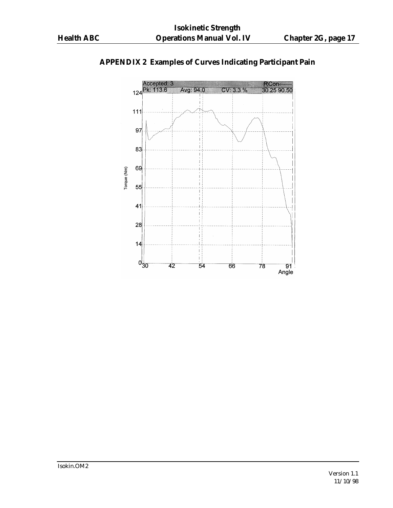

# **APPENDIX 2 Examples of Curves Indicating Participant Pain**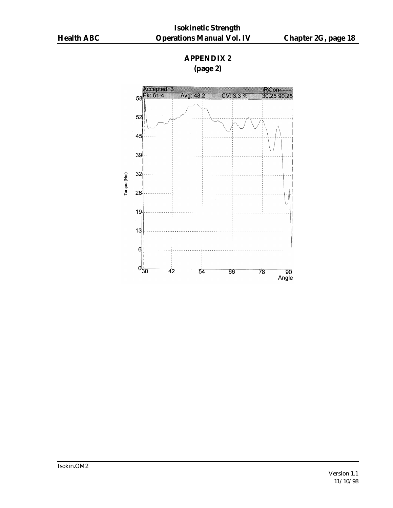# **APPENDIX 2 (page 2)**



Isokin.OM2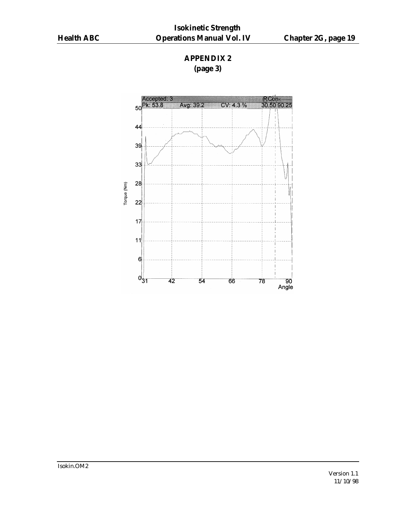# **APPENDIX 2 (page 3)**

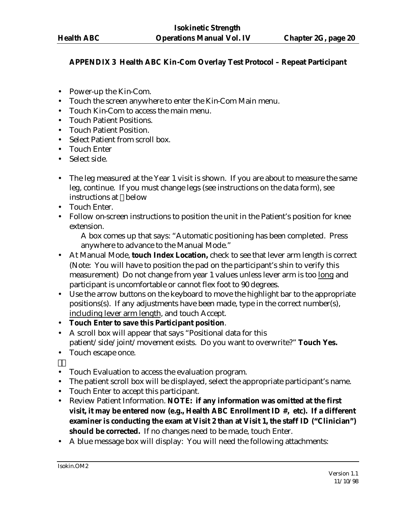# **APPENDIX 3 Health ABC Kin-Com Overlay Test Protocol – Repeat Participant**

- Power-up the Kin-Com.
- Touch the screen anywhere to enter the Kin-Com Main menu.
- Touch Kin-Com to access the main menu.
- Touch Patient Positions.
- Touch Patient Position.
- Select Patient from scroll box.
- Touch Enter
- Select side.
- The leg measured at the Year 1 visit is shown. If you are about to measure the same leg, continue. If you must change legs (see instructions on the data form), see instructions at below
- Touch Enter.
- Follow on-screen instructions to position the unit in the Patient's position for knee extension.

A box comes up that says: "Automatic positioning has been completed. Press anywhere to advance to the Manual Mode."

- At Manual Mode, **touch Index Location,** check to see that lever arm length is correct (Note: You will have to position the pad on the participant's shin to verify this measurement) Do not change from year 1 values unless lever arm is too long and participant is uncomfortable or cannot flex foot to 90 degrees.
- Use the arrow buttons on the keyboard to move the highlight bar to the appropriate positions(s). If any adjustments have been made, type in the correct number(s), including lever arm length, and touch Accept.
- **Touch Enter to save this Participant position**.
- A scroll box will appear that says "Positional data for this patient/side/joint/movement exists. Do you want to overwrite?" **Touch Yes.**
- Touch escape once.
- Touch Evaluation to access the evaluation program.
- The patient scroll box will be displayed, select the appropriate participant's name.
- Touch Enter to accept this participant.
- Review Patient Information. **NOTE: if any information was omitted at the first visit, it may be entered now (e.g., Health ABC Enrollment ID #, etc). If a different examiner is conducting the exam at Visit 2 than at Visit 1, the staff ID ("Clinician")**  should be corrected. If no changes need to be made, touch Enter.
- A blue message box will display: You will need the following attachments: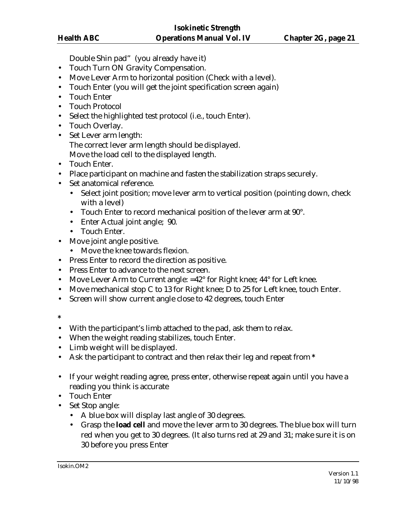Double Shin pad" (you already have it)

- Touch Turn ON Gravity Compensation.
- Move Lever Arm to horizontal position (Check with a level).
- Touch Enter (you will get the joint specification screen again)
- Touch Enter
- Touch Protocol
- Select the highlighted test protocol (i.e., touch Enter).
- Touch Overlay.
- Set Lever arm length: The correct lever arm length should be displayed. Move the load cell to the displayed length.
- Touch Enter.
- Place participant on machine and fasten the stabilization straps securely.
- Set anatomical reference.
	- Select joint position; move lever arm to vertical position (pointing down, check with a level)
	- Touch Enter to record mechanical position of the lever arm at 90°.
	- Enter Actual joint angle; 90.
	- Touch Enter.
- Move joint angle positive.
	- Move the knee towards flexion.
- Press Enter to record the direction as positive.
- Press Enter to advance to the next screen.
- Move Lever Arm to Current angle: =42° for Right knee; 44° for Left knee.
- Move mechanical stop C to 13 for Right knee; D to 25 for Left knee, touch Enter.
- Screen will show current angle close to 42 degrees, touch Enter
- **\***
- With the participant's limb attached to the pad, ask them to relax.
- When the weight reading stabilizes, touch Enter.
- Limb weight will be displayed.
- Ask the participant to contract and then relax their leg and repeat from **\***
- If your weight reading agree, press enter, otherwise repeat again until you have a reading you think is accurate
- Touch Enter
- Set Stop angle:
	- A blue box will display last angle of 30 degrees.
	- Grasp the **load cell** and move the lever arm to 30 degrees. The blue box will turn red when you get to 30 degrees. (It also turns red at 29 and 31; make sure it is on 30 before you press Enter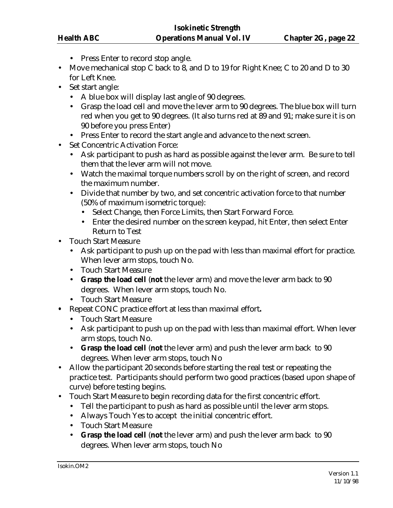- Press Enter to record stop angle.
- Move mechanical stop C back to 8, and D to 19 for Right Knee; C to 20 and D to 30 for Left Knee.
- Set start angle:
	- A blue box will display last angle of 90 degrees.
	- Grasp the load cell and move the lever arm to 90 degrees. The blue box will turn red when you get to 90 degrees. (It also turns red at 89 and 91; make sure it is on 90 before you press Enter)
	- Press Enter to record the start angle and advance to the next screen.
- Set Concentric Activation Force:
	- Ask participant to push as hard as possible against the lever arm. Be sure to tell them that the lever arm will not move.
	- Watch the maximal torque numbers scroll by on the right of screen, and record the maximum number.
	- Divide that number by two, and set concentric activation force to that number (50% of maximum isometric torque):
		- Select Change, then Force Limits, then Start Forward Force.
		- Enter the desired number on the screen keypad, hit Enter, then select Enter Return to Test
- Touch Start Measure
	- Ask participant to push up on the pad with less than maximal effort for practice. When lever arm stops, touch No.
	- Touch Start Measure
	- **Grasp the load cell** (**not** the lever arm) and move the lever arm back to 90 degrees. When lever arm stops, touch No.
	- Touch Start Measure
- **•** Repeat CONC practice effort at less than maximal effort**.**
	- Touch Start Measure
	- Ask participant to push up on the pad with less than maximal effort. When lever arm stops, touch No.
	- **Grasp the load cell** (**not** the lever arm) and push the lever arm back to 90 degrees. When lever arm stops, touch No
- Allow the participant 20 seconds before starting the real test or repeating the practice test. Participants should perform two good practices (based upon shape of curve) before testing begins.
- Touch Start Measure to begin recording data for the first concentric effort.
	- Tell the participant to push as hard as possible until the lever arm stops.
	- Always Touch Yes to accept the initial concentric effort.
	- Touch Start Measure
	- **Grasp the load cell** (**not** the lever arm) and push the lever arm back to 90 degrees. When lever arm stops, touch No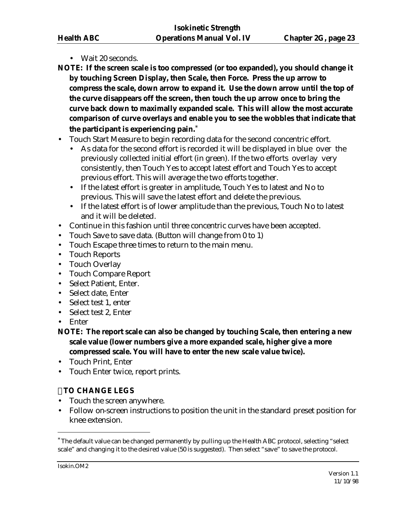- Wait 20 seconds.
- **NOTE: If the screen scale is too compressed (or too expanded), you should change it by touching Screen Display, then Scale, then Force. Press the up arrow to compress the scale, down arrow to expand it. Use the down arrow until the top of the curve disappears off the screen, then touch the up arrow once to bring the curve back down to maximally expanded scale. This will allow the most accurate comparison of curve overlays and enable you to see the wobbles that indicate that the participant is experiencing pain.**\*
- Touch Start Measure to begin recording data for the second concentric effort.
	- As data for the second effort is recorded it will be displayed in blue over the previously collected initial effort (in green). If the two efforts overlay very consistently, then Touch Yes to accept latest effort and Touch Yes to accept previous effort. This will average the two efforts together.
	- If the latest effort is greater in amplitude, Touch Yes to latest and No to previous. This will save the latest effort and delete the previous.
	- If the latest effort is of lower amplitude than the previous, Touch No to latest and it will be deleted.
- Continue in this fashion until three concentric curves have been accepted.
- Touch Save to save data. (Button will change from 0 to 1)
- Touch Escape three times to return to the main menu.
- Touch Reports
- Touch Overlay
- Touch Compare Report
- Select Patient, Enter.
- Select date, Enter
- Select test 1, enter
- Select test 2, Enter
- Enter
- **NOTE: The report scale can also be changed by touching Scale, then entering a new scale value (lower numbers give a more expanded scale, higher give a more compressed scale. You will have to enter the new scale value twice).**
- Touch Print, Enter
- Touch Enter twice, report prints.

# **TO CHANGE LEGS**

- Touch the screen anywhere.
- Follow on-screen instructions to position the unit in the standard preset position for knee extension.

 $\overline{a}$ 

<sup>\*</sup> The default value can be changed permanently by pulling up the Health ABC protocol, selecting "select scale" and changing it to the desired value (50 is suggested). Then select "save" to save the protocol.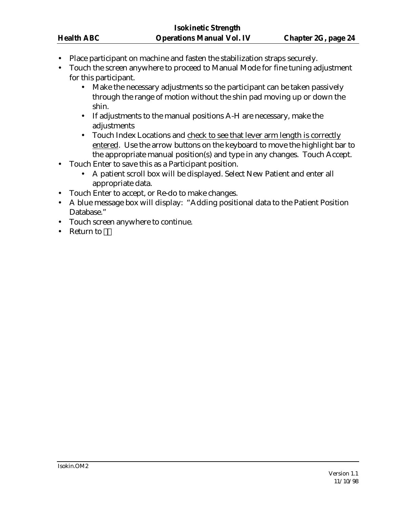- Place participant on machine and fasten the stabilization straps securely.
- Touch the screen anywhere to proceed to Manual Mode for fine tuning adjustment for this participant.
	- Make the necessary adjustments so the participant can be taken passively through the range of motion without the shin pad moving up or down the shin.
	- If adjustments to the manual positions A-H are necessary, make the adjustments
	- Touch Index Locations and check to see that lever arm length is correctly entered. Use the arrow buttons on the keyboard to move the highlight bar to the appropriate manual position(s) and type in any changes. Touch Accept.
- Touch Enter to save this as a Participant position.
	- A patient scroll box will be displayed. Select New Patient and enter all appropriate data.
- Touch Enter to accept, or Re-do to make changes.
- A blue message box will display: "Adding positional data to the Patient Position Database."
- Touch screen anywhere to continue.
- Return to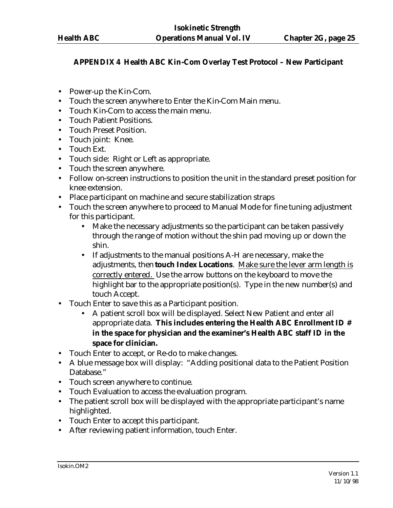# **APPENDIX 4 Health ABC Kin-Com Overlay Test Protocol – New Participant**

- Power-up the Kin-Com.
- Touch the screen anywhere to Enter the Kin-Com Main menu.
- Touch Kin-Com to access the main menu.
- Touch Patient Positions.
- Touch Preset Position.
- Touch joint: Knee.
- Touch Ext.
- Touch side: Right or Left as appropriate.
- Touch the screen anywhere.
- Follow on-screen instructions to position the unit in the standard preset position for knee extension.
- Place participant on machine and secure stabilization straps
- Touch the screen anywhere to proceed to Manual Mode for fine tuning adjustment for this participant.
	- Make the necessary adjustments so the participant can be taken passively through the range of motion without the shin pad moving up or down the shin.
	- If adjustments to the manual positions A-H are necessary, make the adjustments, then **touch Index Locations**. Make sure the lever arm length is correctly entered. Use the arrow buttons on the keyboard to move the highlight bar to the appropriate position(s). Type in the new number(s) and touch Accept.
- Touch Enter to save this as a Participant position.
	- A patient scroll box will be displayed. Select New Patient and enter all appropriate data. **This includes entering the Health ABC Enrollment ID # in the space for physician and the examiner's Health ABC staff ID in the space for clinician.**
- Touch Enter to accept, or Re-do to make changes.
- A blue message box will display: "Adding positional data to the Patient Position Database."
- Touch screen anywhere to continue.
- Touch Evaluation to access the evaluation program.
- The patient scroll box will be displayed with the appropriate participant's name highlighted.
- Touch Enter to accept this participant.
- After reviewing patient information, touch Enter.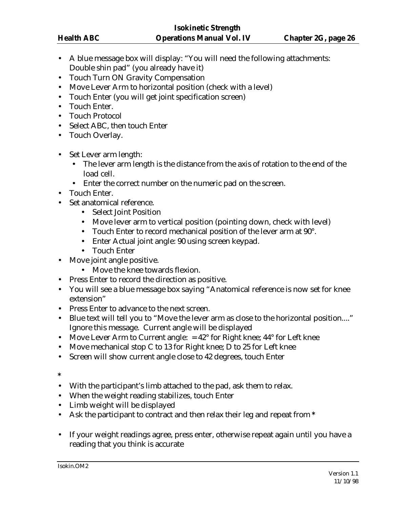- A blue message box will display: "You will need the following attachments: Double shin pad" (you already have it)
- Touch Turn ON Gravity Compensation
- Move Lever Arm to horizontal position (check with a level)
- Touch Enter (you will get joint specification screen)
- Touch Enter.
- Touch Protocol
- Select ABC, then touch Enter
- Touch Overlay.
- Set Lever arm length:
	- The lever arm length is the distance from the axis of rotation to the end of the load cell.
	- Enter the correct number on the numeric pad on the screen.
- Touch Enter.
- Set anatomical reference.
	- Select Joint Position
	- Move lever arm to vertical position (pointing down, check with level)
	- Touch Enter to record mechanical position of the lever arm at 90°.
	- Enter Actual joint angle: 90 using screen keypad.
	- Touch Enter
- Move joint angle positive.
	- Move the knee towards flexion.
- Press Enter to record the direction as positive.
- You will see a blue message box saying "Anatomical reference is now set for knee extension"
- Press Enter to advance to the next screen.
- Blue text will tell you to "Move the lever arm as close to the horizontal position...." Ignore this message. Current angle will be displayed
- Move Lever Arm to Current angle:  $= 42^{\circ}$  for Right knee;  $44^{\circ}$  for Left knee
- Move mechanical stop C to 13 for Right knee; D to 25 for Left knee
- Screen will show current angle close to 42 degrees, touch Enter

**\***

- With the participant's limb attached to the pad, ask them to relax.
- When the weight reading stabilizes, touch Enter
- Limb weight will be displayed
- Ask the participant to contract and then relax their leg and repeat from **\***
- If your weight readings agree, press enter, otherwise repeat again until you have a reading that you think is accurate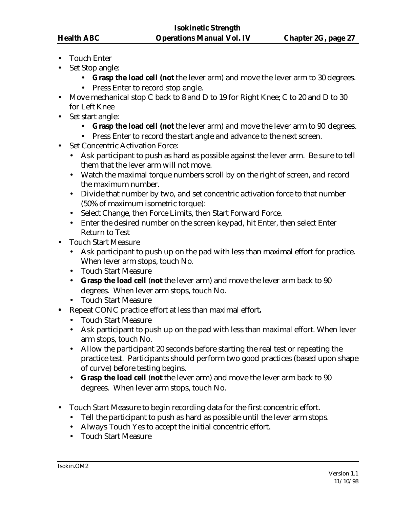- Touch Enter
- Set Stop angle:
	- **Grasp the load cell (not** the lever arm) and move the lever arm to 30 degrees.
	- Press Enter to record stop angle.
- Move mechanical stop C back to 8 and D to 19 for Right Knee; C to 20 and D to 30 for Left Knee
- Set start angle:
	- **Grasp the load cell (not** the lever arm) and move the lever arm to 90 degrees.
	- Press Enter to record the start angle and advance to the next screen.
- Set Concentric Activation Force:
	- Ask participant to push as hard as possible against the lever arm. Be sure to tell them that the lever arm will not move.
	- Watch the maximal torque numbers scroll by on the right of screen, and record the maximum number.
	- Divide that number by two, and set concentric activation force to that number (50% of maximum isometric torque):
	- Select Change, then Force Limits, then Start Forward Force.
	- Enter the desired number on the screen keypad, hit Enter, then select Enter Return to Test
- Touch Start Measure
	- Ask participant to push up on the pad with less than maximal effort for practice. When lever arm stops, touch No.
	- Touch Start Measure
	- **Grasp the load cell** (**not** the lever arm) and move the lever arm back to 90 degrees. When lever arm stops, touch No.
	- Touch Start Measure
- **•** Repeat CONC practice effort at less than maximal effort**.**
	- Touch Start Measure
	- Ask participant to push up on the pad with less than maximal effort. When lever arm stops, touch No.
	- Allow the participant 20 seconds before starting the real test or repeating the practice test. Participants should perform two good practices (based upon shape of curve) before testing begins.
	- **Grasp the load cell** (**not** the lever arm) and move the lever arm back to 90 degrees. When lever arm stops, touch No.
- Touch Start Measure to begin recording data for the first concentric effort.
	- Tell the participant to push as hard as possible until the lever arm stops.
	- Always Touch Yes to accept the initial concentric effort.
	- Touch Start Measure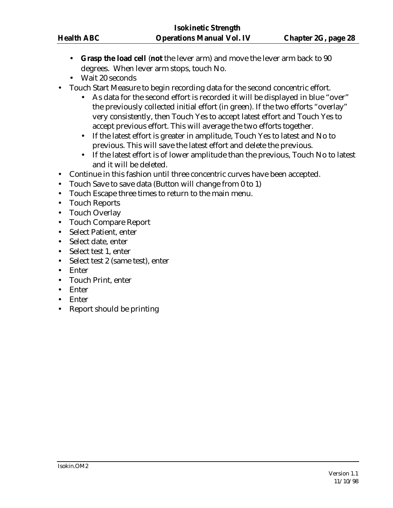- **Grasp the load cell** (**not** the lever arm) and move the lever arm back to 90 degrees. When lever arm stops, touch No.
- Wait 20 seconds
- Touch Start Measure to begin recording data for the second concentric effort.
	- As data for the second effort is recorded it will be displayed in blue "over" the previously collected initial effort (in green). If the two efforts "overlay" very consistently, then Touch Yes to accept latest effort and Touch Yes to accept previous effort. This will average the two efforts together.
	- If the latest effort is greater in amplitude, Touch Yes to latest and No to previous. This will save the latest effort and delete the previous.
	- If the latest effort is of lower amplitude than the previous, Touch No to latest and it will be deleted.
- Continue in this fashion until three concentric curves have been accepted.
- Touch Save to save data (Button will change from 0 to 1)
- Touch Escape three times to return to the main menu.
- Touch Reports
- Touch Overlay
- Touch Compare Report
- Select Patient, enter
- Select date, enter
- Select test 1, enter
- Select test 2 (same test), enter
- Enter
- Touch Print, enter
- Enter
- Enter
- Report should be printing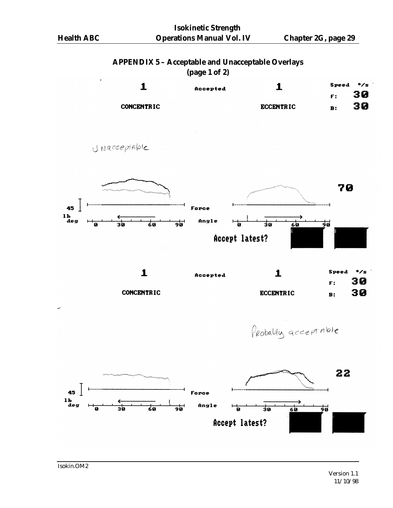### **APPENDIX 5 – Acceptable and Unacceptable Overlays (page 1 of 2)**

|                   | $\mathbf{r}$ – $\mathbf{r}$ – $\mathbf{r}$ |                  |           |              |
|-------------------|--------------------------------------------|------------------|-----------|--------------|
|                   | Accepted                                   |                  | Speed     | $\bullet$ /s |
|                   |                                            |                  | F:        | 30           |
| <b>CONCENTRIC</b> |                                            | <b>ECCENTRIC</b> | <b>B:</b> | 30           |





**CONCENTRIC** 

Probably acceptable

**ECCENTRIC** 



30

 $\mathbf{B}$ :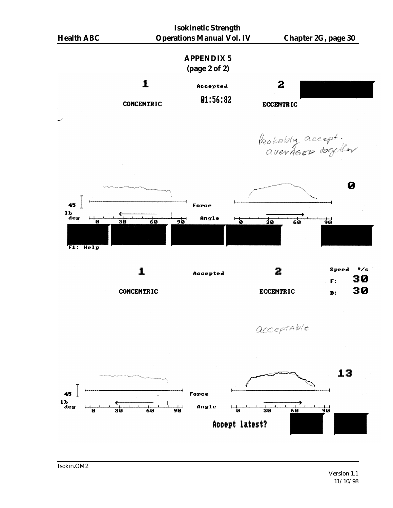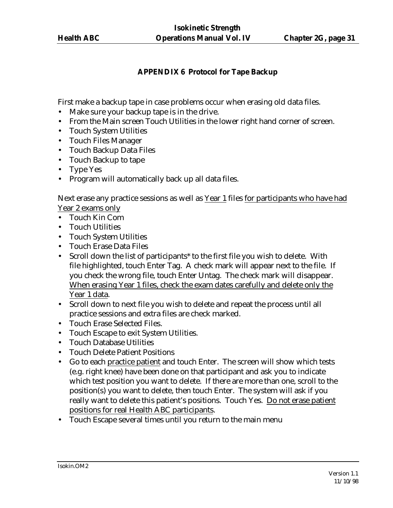# **APPENDIX 6 Protocol for Tape Backup**

First make a backup tape in case problems occur when erasing old data files.

- Make sure your backup tape is in the drive.
- From the Main screen Touch Utilities in the lower right hand corner of screen.
- Touch System Utilities
- Touch Files Manager
- Touch Backup Data Files
- Touch Backup to tape
- Type Yes
- Program will automatically back up all data files.

Next erase any practice sessions as well as Year 1 files for participants who have had Year 2 exams only

- Touch Kin Com
- Touch Utilities
- Touch System Utilities
- Touch Erase Data Files
- Scroll down the list of participants<sup>\*</sup> to the first file you wish to delete. With file highlighted, touch Enter Tag. A check mark will appear next to the file. If you check the wrong file, touch Enter Untag. The check mark will disappear. When erasing Year 1 files, check the exam dates carefully and delete only the Year 1 data.
- Scroll down to next file you wish to delete and repeat the process until all practice sessions and extra files are check marked.
- Touch Erase Selected Files.
- Touch Escape to exit System Utilities.
- Touch Database Utilities
- Touch Delete Patient Positions
- Go to each practice patient and touch Enter. The screen will show which tests (e.g. right knee) have been done on that participant and ask you to indicate which test position you want to delete. If there are more than one, scroll to the position(s) you want to delete, then touch Enter. The system will ask if you really want to delete this patient's positions. Touch Yes. Do not erase patient positions for real Health ABC participants.
- Touch Escape several times until you return to the main menu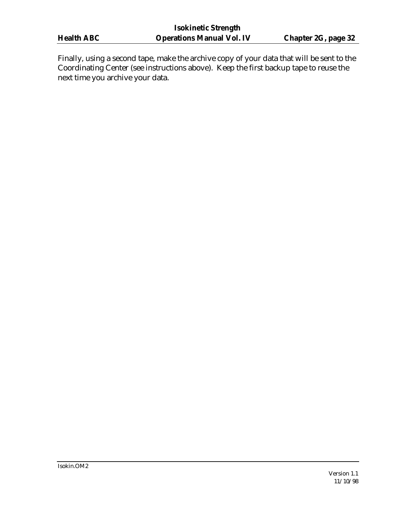Finally, using a second tape, make the archive copy of your data that will be sent to the Coordinating Center (see instructions above). Keep the first backup tape to reuse the next time you archive your data.